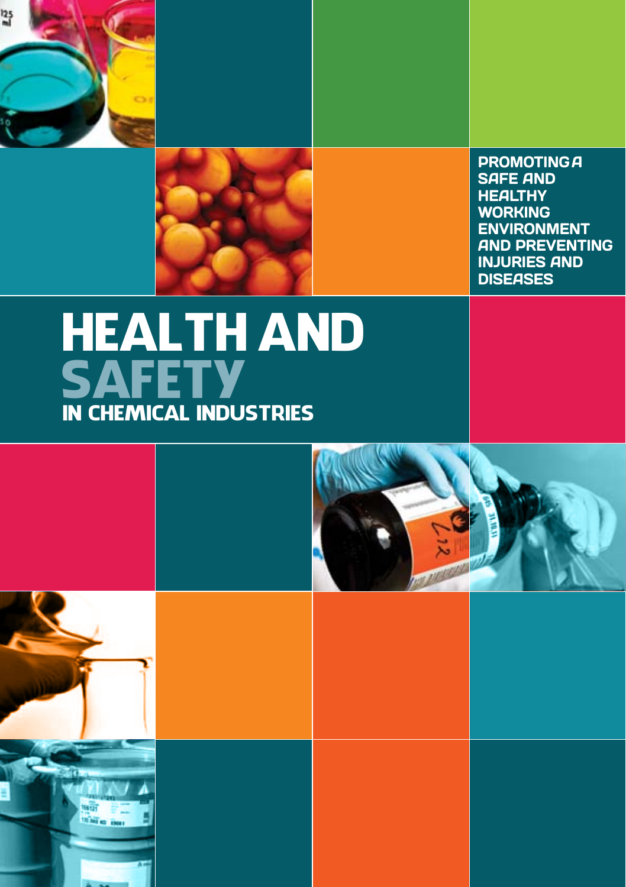



PROMOTING A SAFE AND **HEALTHY** WORKING ENVIRONMENT AND PREVENTING INJURIES AND **DISEASES** 

## IN CHEMICAL INDUSTRIES **SAFETY** HEALTH AND



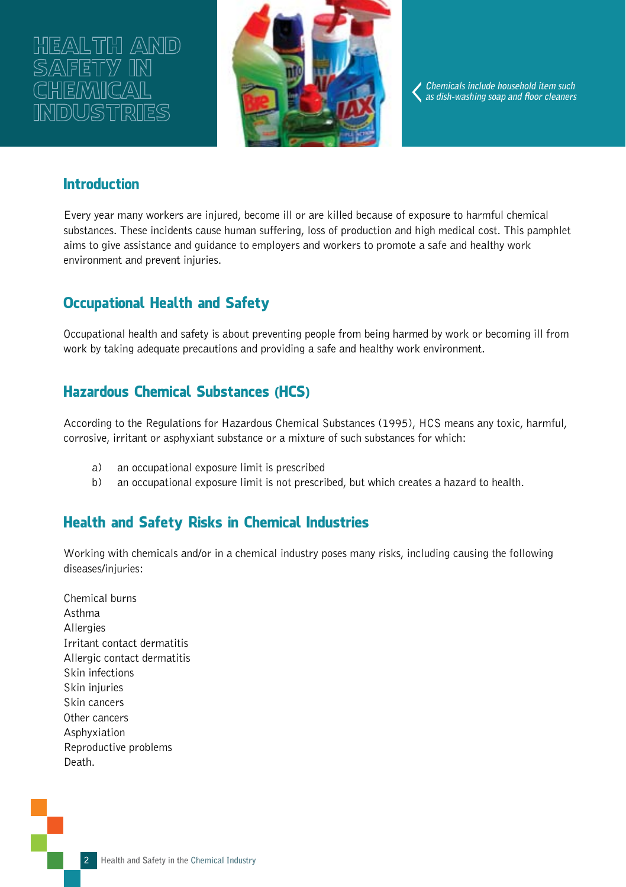# HEALTH AND **mustre**



**Chemicals include household item such as dish-washing soap and floor cleaners**

## **Introduction**

Every year many workers are injured, become ill or are killed because of exposure to harmful chemical substances. These incidents cause human suffering, loss of production and high medical cost. This pamphlet aims to give assistance and guidance to employers and workers to promote a safe and healthy work environment and prevent injuries.

## Occupational Health and Safety

Occupational health and safety is about preventing people from being harmed by work or becoming ill from work by taking adequate precautions and providing a safe and healthy work environment.

## Hazardous Chemical Substances (HCS)

According to the Regulations for Hazardous Chemical Substances (1995), HCS means any toxic, harmful, corrosive, irritant or asphyxiant substance or a mixture of such substances for which:

- a) an occupational exposure limit is prescribed
- b) an occupational exposure limit is not prescribed, but which creates a hazard to health.

## Health and Safety Risks in Chemical Industries

Working with chemicals and/or in a chemical industry poses many risks, including causing the following diseases/injuries:

Chemical burns Asthma **Allergies** Irritant contact dermatitis Allergic contact dermatitis Skin infections Skin injuries Skin cancers Other cancers Asphyxiation Reproductive problems Death.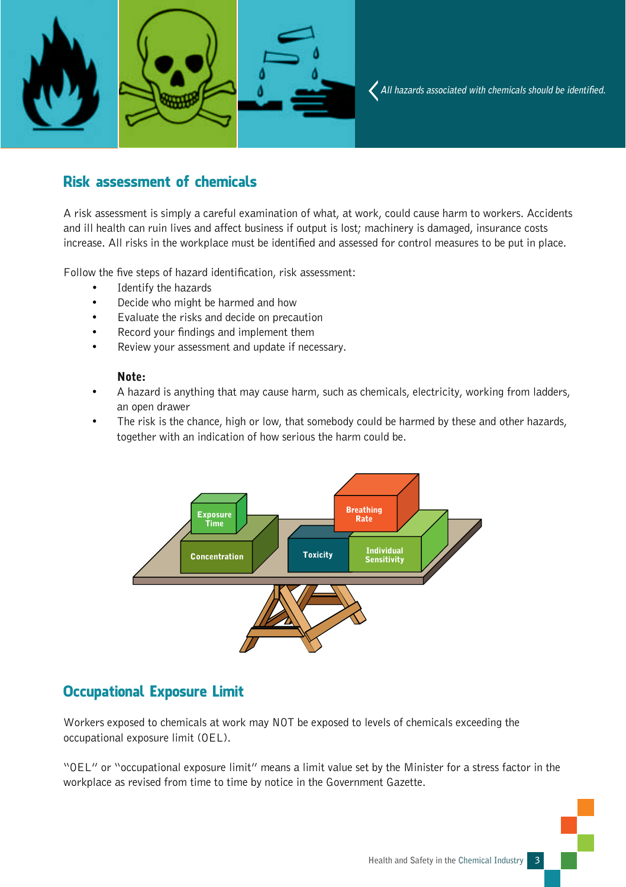

### Risk assessment of chemicals

A risk assessment is simply a careful examination of what, at work, could cause harm to workers. Accidents and ill health can ruin lives and affect business if output is lost; machinery is damaged, insurance costs increase. All risks in the workplace must be identified and assessed for control measures to be put in place.

Follow the five steps of hazard identification, risk assessment:

- Identify the hazards
- Decide who might be harmed and how
- Evaluate the risks and decide on precaution
- Record your findings and implement them
- Review your assessment and update if necessary.

#### Note:

- A hazard is anything that may cause harm, such as chemicals, electricity, working from ladders, an open drawer
- The risk is the chance, high or low, that somebody could be harmed by these and other hazards, together with an indication of how serious the harm could be.



## Occupational Exposure Limit

Workers exposed to chemicals at work may NOT be exposed to levels of chemicals exceeding the occupational exposure limit (OEL).

"OEL" or "occupational exposure limit" means a limit value set by the Minister for a stress factor in the workplace as revised from time to time by notice in the Government Gazette.

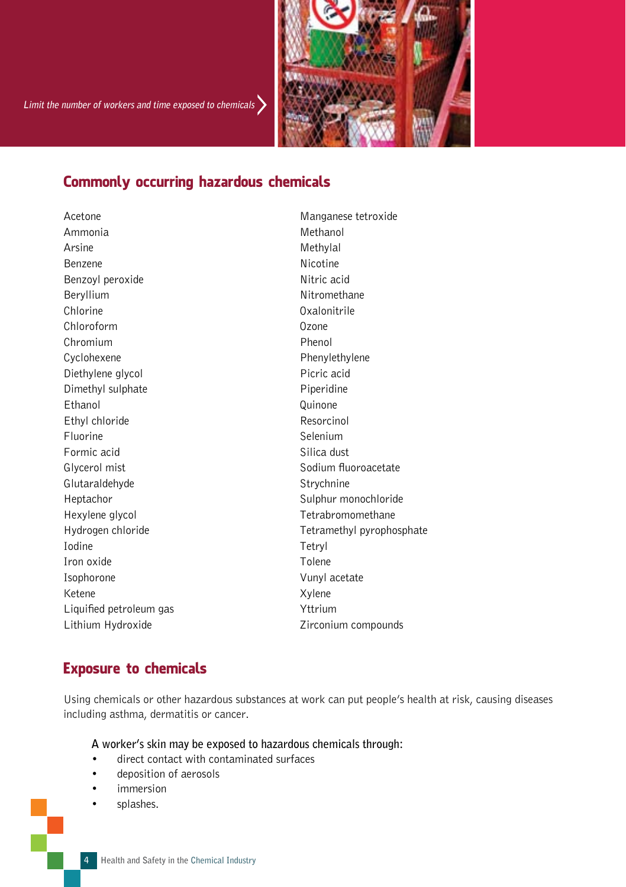

## Commonly occurring hazardous chemicals

Ammonia Methanol Arsine Methylal Benzene Nicotine Benzoyl peroxide Nitric acid Beryllium Nitromethane Chlorine Oxalonitrile Chloroform Ozone Chromium Phenol Cyclohexene Phenylethylene Diethylene glycol **Picric acid** Picric acid Dimethyl sulphate Piperidine Ethanol Quinone Ethyl chloride Resorcinol Fluorine Selenium Formic acid Silica dust Glycerol mist Glycerol mist Glutaraldehyde Strychnine Heptachor Sulphur monochloride Hexylene glycol and the Tetrabromomethane Iodine Tetryl Iron oxide Tolene Isophorone Vunyl acetate Ketene Xylene Liquified petroleum gas **Yttrium** Lithium Hydroxide **Lithium Hydroxide Zirconium compounds** 

Acetone Manganese tetroxide Hydrogen chloride Tetramethyl pyrophosphate

#### Exposure to chemicals

Using chemicals or other hazardous substances at work can put people's health at risk, causing diseases including asthma, dermatitis or cancer.

 **A worker's skin may be exposed to hazardous chemicals through:** 

- direct contact with contaminated surfaces
- deposition of aerosols
- *immersion*
- splashes.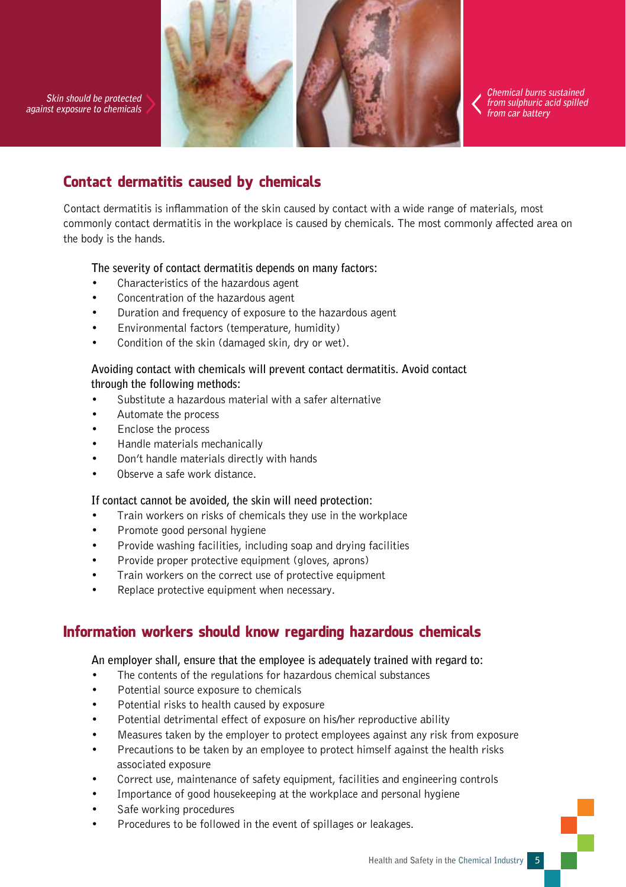**Skin should be protected against exposure to chemicals**



**Chemical burns sustained from sulphuric acid spilled from car battery** 

## Contact dermatitis caused by chemicals

Contact dermatitis is inflammation of the skin caused by contact with a wide range of materials, most commonly contact dermatitis in the workplace is caused by chemicals. The most commonly affected area on the body is the hands.

#### **The severity of contact dermatitis depends on many factors:**

- Characteristics of the hazardous agent
- Concentration of the hazardous agent
- Duration and frequency of exposure to the hazardous agent
- Environmental factors (temperature, humidity)
- Condition of the skin (damaged skin, dry or wet).

#### **Avoiding contact with chemicals will prevent contact dermatitis. Avoid contact through the following methods:**

- Substitute a hazardous material with a safer alternative
- Automate the process
- Enclose the process
- Handle materials mechanically
- Don't handle materials directly with hands
- Observe a safe work distance.

#### **If contact cannot be avoided, the skin will need protection:**

- Train workers on risks of chemicals they use in the workplace
- Promote good personal hygiene
- Provide washing facilities, including soap and drying facilities
- Provide proper protective equipment (gloves, aprons)
- Train workers on the correct use of protective equipment
- Replace protective equipment when necessary.

## Information workers should know regarding hazardous chemicals

#### **An employer shall, ensure that the employee is adequately trained with regard to:**

- The contents of the regulations for hazardous chemical substances
- Potential source exposure to chemicals
- Potential risks to health caused by exposure
- Potential detrimental effect of exposure on his/her reproductive ability
- Measures taken by the employer to protect employees against any risk from exposure
- Precautions to be taken by an employee to protect himself against the health risks associated exposure
- Correct use, maintenance of safety equipment, facilities and engineering controls
- Importance of good housekeeping at the workplace and personal hygiene
- Safe working procedures
- Procedures to be followed in the event of spillages or leakages.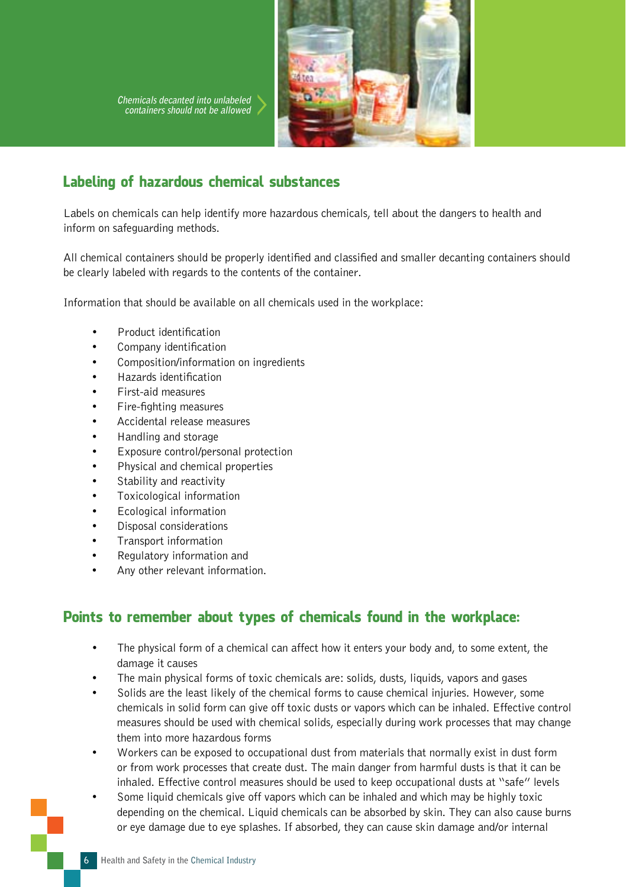**Chemicals decanted into unlabeled containers should not be allowed**



## Labeling of hazardous chemical substances

Labels on chemicals can help identify more hazardous chemicals, tell about the dangers to health and inform on safeguarding methods.

All chemical containers should be properly identified and classified and smaller decanting containers should be clearly labeled with regards to the contents of the container.

Information that should be available on all chemicals used in the workplace:

- Product identification
- Company identification
- Composition/information on ingredients
- Hazards identification
- First-aid measures
- Fire-fighting measures
- Accidental release measures
- Handling and storage
- Exposure control/personal protection
- Physical and chemical properties
- Stability and reactivity
- Toxicological information
- Ecological information
- Disposal considerations
- Transport information
- Regulatory information and
- Any other relevant information.

### Points to remember about types of chemicals found in the workplace:

- The physical form of a chemical can affect how it enters your body and, to some extent, the damage it causes
- The main physical forms of toxic chemicals are: solids, dusts, liquids, vapors and gases
- Solids are the least likely of the chemical forms to cause chemical injuries. However, some chemicals in solid form can give off toxic dusts or vapors which can be inhaled. Effective control measures should be used with chemical solids, especially during work processes that may change them into more hazardous forms
- Workers can be exposed to occupational dust from materials that normally exist in dust form or from work processes that create dust. The main danger from harmful dusts is that it can be inhaled. Effective control measures should be used to keep occupational dusts at "safe" levels
- Some liquid chemicals give off vapors which can be inhaled and which may be highly toxic depending on the chemical. Liquid chemicals can be absorbed by skin. They can also cause burns or eye damage due to eye splashes. If absorbed, they can cause skin damage and/or internal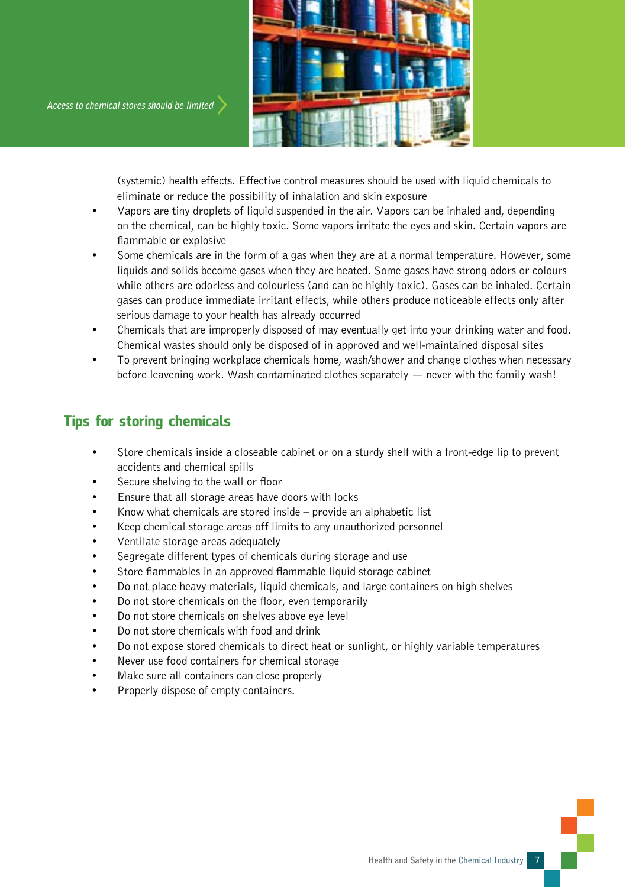



(systemic) health effects. Effective control measures should be used with liquid chemicals to eliminate or reduce the possibility of inhalation and skin exposure

- Vapors are tiny droplets of liquid suspended in the air. Vapors can be inhaled and, depending on the chemical, can be highly toxic. Some vapors irritate the eyes and skin. Certain vapors are flammable or explosive
- Some chemicals are in the form of a gas when they are at a normal temperature. However, some liquids and solids become gases when they are heated. Some gases have strong odors or colours while others are odorless and colourless (and can be highly toxic). Gases can be inhaled. Certain gases can produce immediate irritant effects, while others produce noticeable effects only after serious damage to your health has already occurred
- Chemicals that are improperly disposed of may eventually get into your drinking water and food. Chemical wastes should only be disposed of in approved and well-maintained disposal sites
- To prevent bringing workplace chemicals home, wash/shower and change clothes when necessary before leavening work. Wash contaminated clothes separately  $-$  never with the family wash!

## Tips for storing chemicals

- Store chemicals inside a closeable cabinet or on a sturdy shelf with a front-edge lip to prevent accidents and chemical spills
- Secure shelving to the wall or floor
- Ensure that all storage areas have doors with locks
- Know what chemicals are stored inside provide an alphabetic list
- Keep chemical storage areas off limits to any unauthorized personnel
- Ventilate storage areas adequately
- Segregate different types of chemicals during storage and use
- Store flammables in an approved flammable liquid storage cabinet
- Do not place heavy materials, liquid chemicals, and large containers on high shelves
- Do not store chemicals on the floor, even temporarily
- Do not store chemicals on shelves above eye level
- Do not store chemicals with food and drink
- Do not expose stored chemicals to direct heat or sunlight, or highly variable temperatures
- Never use food containers for chemical storage
- Make sure all containers can close properly
- Properly dispose of empty containers.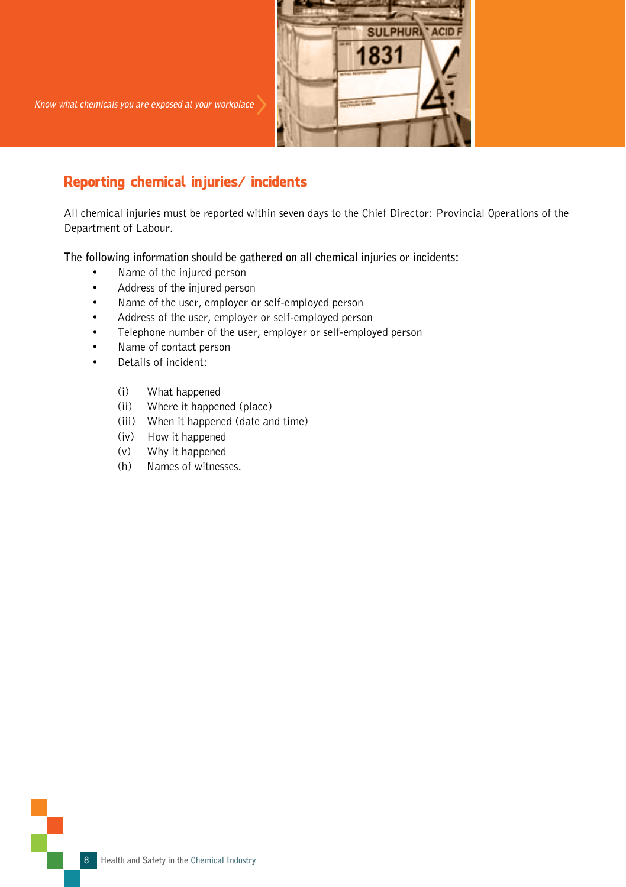

## Reporting chemical injuries/ incidents

All chemical injuries must be reported within seven days to the Chief Director: Provincial Operations of the Department of Labour.

**The following information should be gathered on all chemical injuries or incidents:** 

- Name of the injured person
- Address of the injured person
- Name of the user, employer or self-employed person
- Address of the user, employer or self-employed person
- Telephone number of the user, employer or self-employed person
- Name of contact person
- Details of incident:
	- (i) What happened
	- (ii) Where it happened (place)
	- (iii) When it happened (date and time)
	- (iv) How it happened
	- (v) Why it happened
	- (h) Names of witnesses.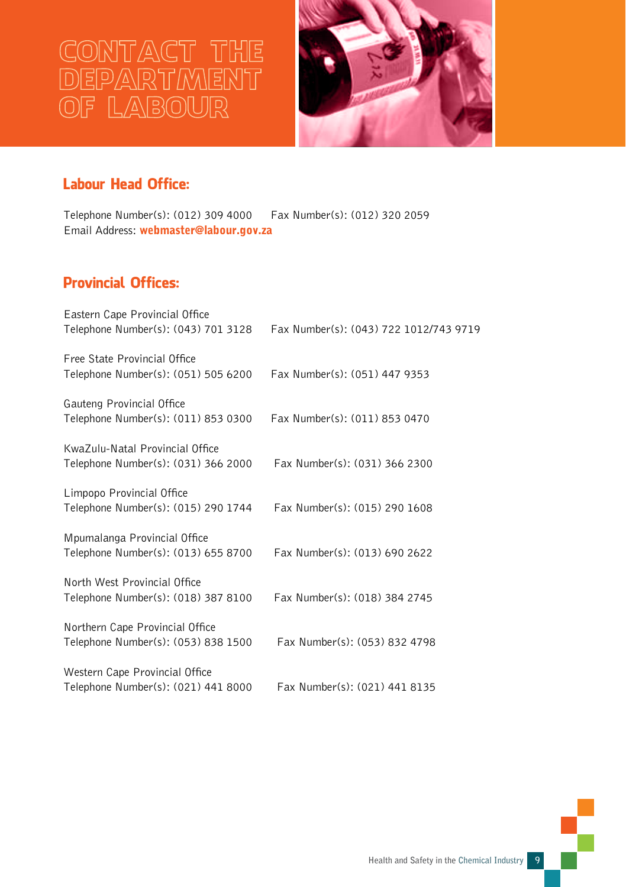# CONTACT THE OF LABOUR



## Labour Head Office:

Telephone Number(s): (012) 309 4000 Fax Number(s): (012) 320 2059 Email Address: webmaster@labour.gov.za

## Provincial Offices:

| Eastern Cape Provincial Office<br>Telephone Number(s): (043) 701 3128  | Fax Number(s): (043) 722 1012/743 9719 |
|------------------------------------------------------------------------|----------------------------------------|
| Free State Provincial Office<br>Telephone Number(s): (051) 505 6200    | Fax Number(s): (051) 447 9353          |
| Gauteng Provincial Office<br>Telephone Number(s): (011) 853 0300       | Fax Number(s): (011) 853 0470          |
| KwaZulu-Natal Provincial Office<br>Telephone Number(s): (031) 366 2000 | Fax Number(s): (031) 366 2300          |
| Limpopo Provincial Office<br>Telephone Number(s): (015) 290 1744       | Fax Number(s): (015) 290 1608          |
| Mpumalanga Provincial Office<br>Telephone Number(s): (013) 655 8700    | Fax Number(s): (013) 690 2622          |
| North West Provincial Office<br>Telephone Number(s): (018) 387 8100    | Fax Number(s): (018) 384 2745          |
| Northern Cape Provincial Office<br>Telephone Number(s): (053) 838 1500 | Fax Number(s): (053) 832 4798          |
| Western Cape Provincial Office<br>Telephone Number(s): (021) 441 8000  | Fax Number(s): (021) 441 8135          |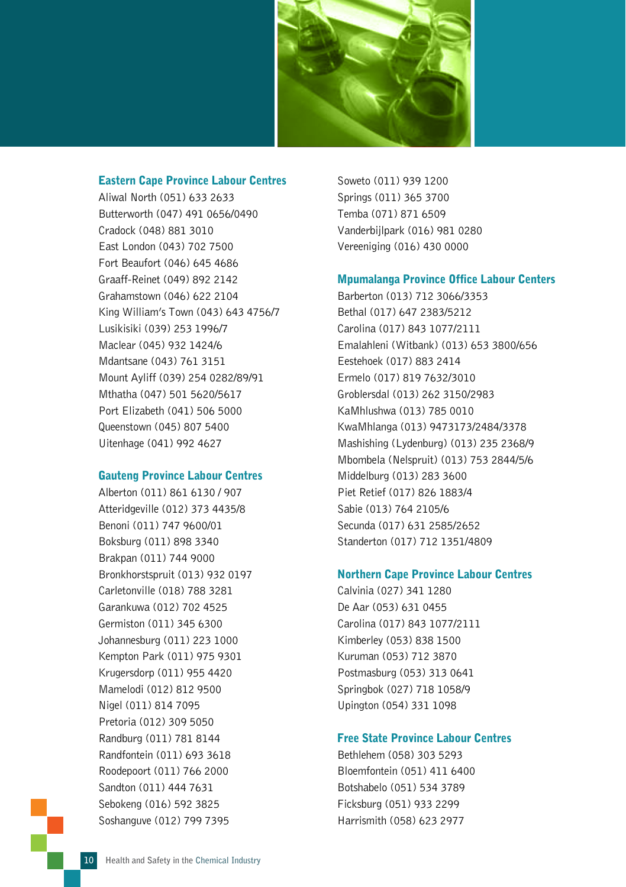

#### Eastern Cape Province Labour Centres

Aliwal North (051) 633 2633 Butterworth (047) 491 0656/0490 Cradock (048) 881 3010 East London (043) 702 7500 Fort Beaufort (046) 645 4686 Graaff-Reinet (049) 892 2142 Grahamstown (046) 622 2104 King William's Town (043) 643 4756/7 Lusikisiki (039) 253 1996/7 Maclear (045) 932 1424/6 Mdantsane (043) 761 3151 Mount Ayliff (039) 254 0282/89/91 Mthatha (047) 501 5620/5617 Port Elizabeth (041) 506 5000 Queenstown (045) 807 5400 Uitenhage (041) 992 4627

#### Gauteng Province Labour Centres

Alberton (011) 861 6130 / 907 Atteridgeville (012) 373 4435/8 Benoni (011) 747 9600/01 Boksburg (011) 898 3340 Brakpan (011) 744 9000 Bronkhorstspruit (013) 932 0197 Carletonville (018) 788 3281 Garankuwa (012) 702 4525 Germiston (011) 345 6300 Johannesburg (011) 223 1000 Kempton Park (011) 975 9301 Krugersdorp (011) 955 4420 Mamelodi (012) 812 9500 Nigel (011) 814 7095 Pretoria (012) 309 5050 Randburg (011) 781 8144 Randfontein (011) 693 3618 Roodepoort (011) 766 2000 Sandton (011) 444 7631 Sebokeng (016) 592 3825 Soshanguve (012) 799 7395

Soweto (011) 939 1200 Springs (011) 365 3700 Temba (071) 871 6509 Vanderbijlpark (016) 981 0280 Vereeniging (016) 430 0000

#### Mpumalanga Province Office Labour Centers

Barberton (013) 712 3066/3353 Bethal (017) 647 2383/5212 Carolina (017) 843 1077/2111 Emalahleni (Witbank) (013) 653 3800/656 Eestehoek (017) 883 2414 Ermelo (017) 819 7632/3010 Groblersdal (013) 262 3150/2983 KaMhlushwa (013) 785 0010 KwaMhlanga (013) 9473173/2484/3378 Mashishing (Lydenburg) (013) 235 2368/9 Mbombela (Nelspruit) (013) 753 2844/5/6 Middelburg (013) 283 3600 Piet Retief (017) 826 1883/4 Sabie (013) 764 2105/6 Secunda (017) 631 2585/2652 Standerton (017) 712 1351/4809

#### Northern Cape Province Labour Centres

Calvinia (027) 341 1280 De Aar (053) 631 0455 Carolina (017) 843 1077/2111 Kimberley (053) 838 1500 Kuruman (053) 712 3870 Postmasburg (053) 313 0641 Springbok (027) 718 1058/9 Upington (054) 331 1098

#### Free State Province Labour Centres

Bethlehem (058) 303 5293 Bloemfontein (051) 411 6400 Botshabelo (051) 534 3789 Ficksburg (051) 933 2299 Harrismith (058) 623 2977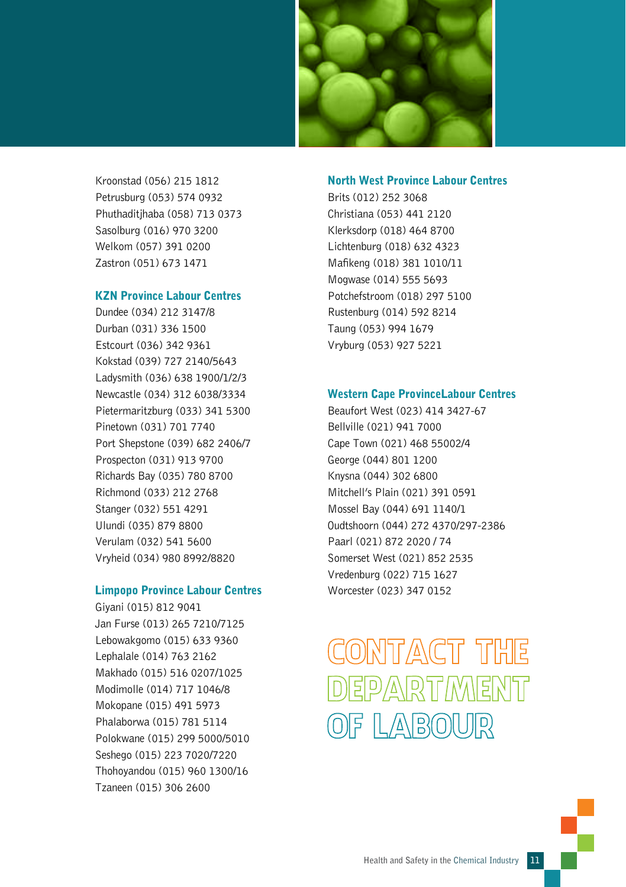

Kroonstad (056) 215 1812 Petrusburg (053) 574 0932 Phuthaditjhaba (058) 713 0373 Sasolburg (016) 970 3200 Welkom (057) 391 0200 Zastron (051) 673 1471

#### KZN Province Labour Centres

Dundee (034) 212 3147/8 Durban (031) 336 1500 Estcourt (036) 342 9361 Kokstad (039) 727 2140/5643 Ladysmith (036) 638 1900/1/2/3 Newcastle (034) 312 6038/3334 Pietermaritzburg (033) 341 5300 Pinetown (031) 701 7740 Port Shepstone (039) 682 2406/7 Prospecton (031) 913 9700 Richards Bay (035) 780 8700 Richmond (033) 212 2768 Stanger (032) 551 4291 Ulundi (035) 879 8800 Verulam (032) 541 5600 Vryheid (034) 980 8992/8820

#### Limpopo Province Labour Centres

Giyani (015) 812 9041 Jan Furse (013) 265 7210/7125 Lebowakgomo (015) 633 9360 Lephalale (014) 763 2162 Makhado (015) 516 0207/1025 Modimolle (014) 717 1046/8 Mokopane (015) 491 5973 Phalaborwa (015) 781 5114 Polokwane (015) 299 5000/5010 Seshego (015) 223 7020/7220 Thohoyandou (015) 960 1300/16 Tzaneen (015) 306 2600

#### North West Province Labour Centres

Brits (012) 252 3068 Christiana (053) 441 2120 Klerksdorp (018) 464 8700 Lichtenburg (018) 632 4323 Mafikeng (018) 381 1010/11 Mogwase (014) 555 5693 Potchefstroom (018) 297 5100 Rustenburg (014) 592 8214 Taung (053) 994 1679 Vryburg (053) 927 5221

#### Western Cape ProvinceLabour Centres

Beaufort West (023) 414 3427-67 Bellville (021) 941 7000 Cape Town (021) 468 55002/4 George (044) 801 1200 Knysna (044) 302 6800 Mitchell's Plain (021) 391 0591 Mossel Bay (044) 691 1140/1 Oudtshoorn (044) 272 4370/297-2386 Paarl (021) 872 2020 / 74 Somerset West (021) 852 2535 Vredenburg (022) 715 1627 Worcester (023) 347 0152

## CONTACT THE **DEPARTMENT** OF LABOUR